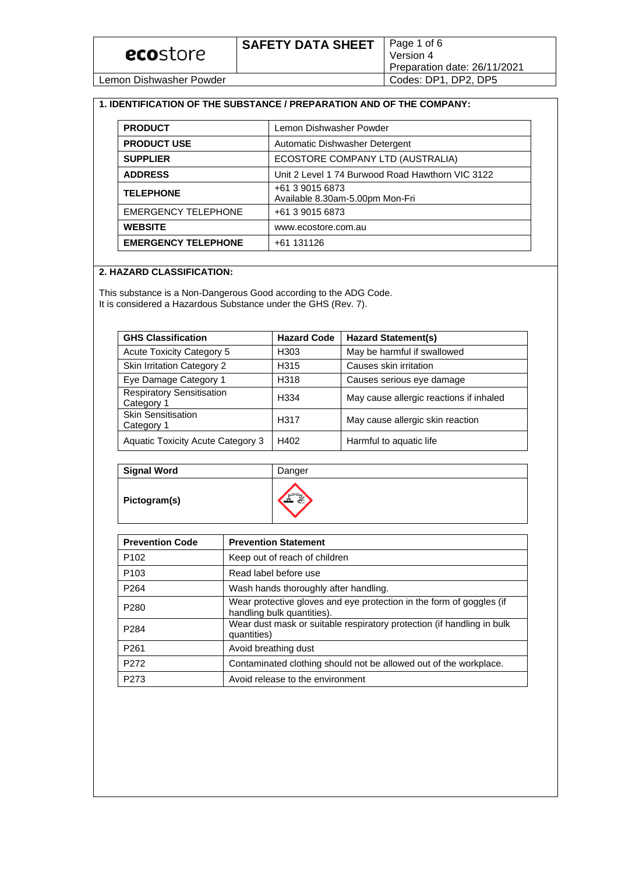| ecostore |
|----------|
|----------|

Lemon Dishwasher Powder Codes: DP1, DP2, DP5

### **1. IDENTIFICATION OF THE SUBSTANCE / PREPARATION AND OF THE COMPANY:**

| <b>PRODUCT</b>             | Lemon Dishwasher Powder                            |
|----------------------------|----------------------------------------------------|
| <b>PRODUCT USE</b>         | Automatic Dishwasher Detergent                     |
| <b>SUPPLIER</b>            | ECOSTORE COMPANY LTD (AUSTRALIA)                   |
| <b>ADDRESS</b>             | Unit 2 Level 1 74 Burwood Road Hawthorn VIC 3122   |
| <b>TELEPHONE</b>           | +61 3 9015 6873<br>Available 8.30am-5.00pm Mon-Fri |
| <b>EMERGENCY TELEPHONE</b> | +61 3 9015 6873                                    |
| <b>WEBSITE</b>             | www.ecostore.com.au                                |
| <b>EMERGENCY TELEPHONE</b> | +61 131126                                         |

### **2. HAZARD CLASSIFICATION:**

This substance is a Non-Dangerous Good according to the ADG Code. It is considered a Hazardous Substance under the GHS (Rev. 7).

| <b>GHS Classification</b>                      | <b>Hazard Code</b> | <b>Hazard Statement(s)</b>              |
|------------------------------------------------|--------------------|-----------------------------------------|
| <b>Acute Toxicity Category 5</b>               | H <sub>303</sub>   | May be harmful if swallowed             |
| <b>Skin Irritation Category 2</b>              | H315               | Causes skin irritation                  |
| Eye Damage Category 1                          | H318               | Causes serious eye damage               |
| <b>Respiratory Sensitisation</b><br>Category 1 | H <sub>334</sub>   | May cause allergic reactions if inhaled |
| Skin Sensitisation<br>Category 1               | H317               | May cause allergic skin reaction        |
| <b>Aquatic Toxicity Acute Category 3</b>       | H402               | Harmful to aquatic life                 |

| <b>Signal Word</b> | Danger                   |
|--------------------|--------------------------|
| Pictogram(s)       | $\overline{\phantom{a}}$ |

| <b>Prevention Code</b> | <b>Prevention Statement</b>                                                                        |  |
|------------------------|----------------------------------------------------------------------------------------------------|--|
| P <sub>102</sub>       | Keep out of reach of children                                                                      |  |
| P <sub>103</sub>       | Read label before use                                                                              |  |
| P <sub>264</sub>       | Wash hands thoroughly after handling.                                                              |  |
| P <sub>280</sub>       | Wear protective gloves and eye protection in the form of goggles (if<br>handling bulk quantities). |  |
| P <sub>284</sub>       | Wear dust mask or suitable respiratory protection (if handling in bulk<br>quantities)              |  |
| P <sub>261</sub>       | Avoid breathing dust                                                                               |  |
| P272                   | Contaminated clothing should not be allowed out of the workplace.                                  |  |
| P <sub>273</sub>       | Avoid release to the environment                                                                   |  |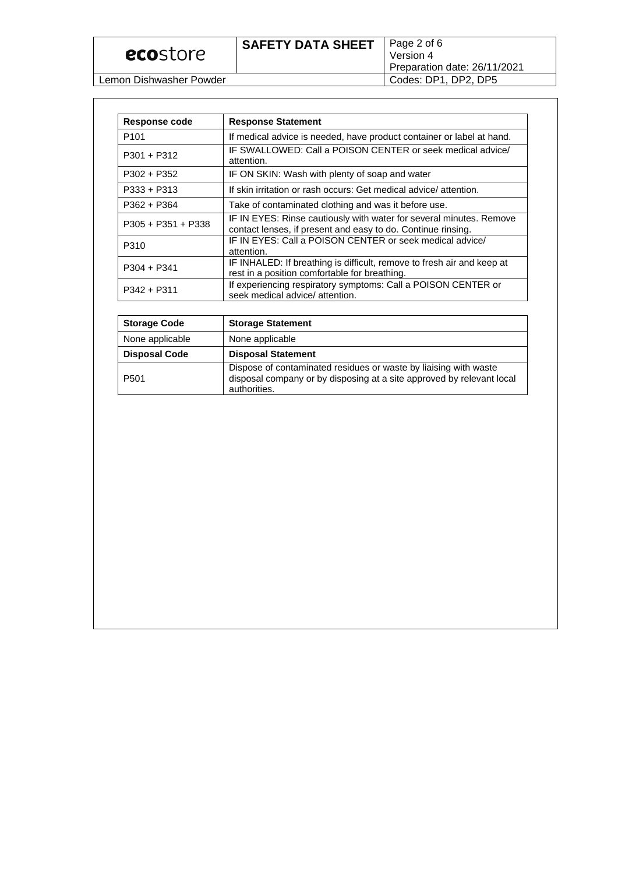| ecostore |
|----------|
|----------|

Lemon Dishwasher Powder

| Response code        | <b>Response Statement</b>                                                                                                           |  |
|----------------------|-------------------------------------------------------------------------------------------------------------------------------------|--|
| P <sub>101</sub>     | If medical advice is needed, have product container or label at hand.                                                               |  |
| $P301 + P312$        | IF SWALLOWED: Call a POISON CENTER or seek medical advice/<br>attention.                                                            |  |
| P302 + P352          | IF ON SKIN: Wash with plenty of soap and water                                                                                      |  |
| $P333 + P313$        | If skin irritation or rash occurs: Get medical advice/attention.                                                                    |  |
| P362 + P364          | Take of contaminated clothing and was it before use.                                                                                |  |
| $P305 + P351 + P338$ | IF IN EYES: Rinse cautiously with water for several minutes. Remove<br>contact lenses, if present and easy to do. Continue rinsing. |  |
| P310                 | IF IN EYES: Call a POISON CENTER or seek medical advice/<br>attention.                                                              |  |
| P304 + P341          | IF INHALED: If breathing is difficult, remove to fresh air and keep at<br>rest in a position comfortable for breathing.             |  |
| P342 + P311          | If experiencing respiratory symptoms: Call a POISON CENTER or<br>seek medical advice/ attention.                                    |  |

| <b>Storage Code</b>  | <b>Storage Statement</b>                                                                                                                                  |  |
|----------------------|-----------------------------------------------------------------------------------------------------------------------------------------------------------|--|
| None applicable      | None applicable                                                                                                                                           |  |
| <b>Disposal Code</b> | <b>Disposal Statement</b>                                                                                                                                 |  |
| P <sub>501</sub>     | Dispose of contaminated residues or waste by liaising with waste<br>disposal company or by disposing at a site approved by relevant local<br>authorities. |  |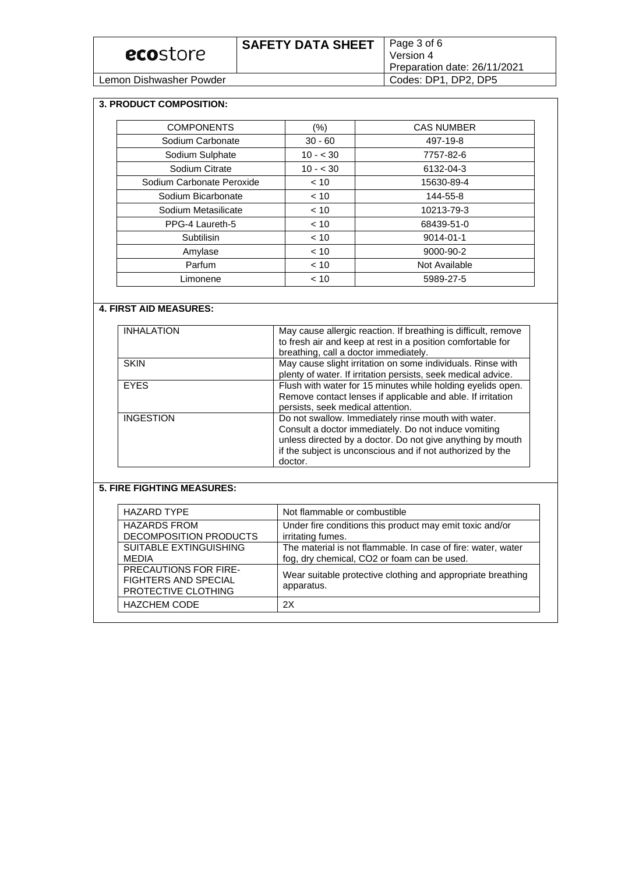| ecostore                | <b>SAFETY DATA SHEET</b> | Page 3 of 6<br>Version 4<br>Preparation date: 26/11/2021 |
|-------------------------|--------------------------|----------------------------------------------------------|
| Lemon Dishwasher Powder |                          | Codes: DP1, DP2, DP5                                     |

#### **3. PRODUCT COMPOSITION:**

| <b>COMPONENTS</b>         | $(\% )$   | <b>CAS NUMBER</b> |
|---------------------------|-----------|-------------------|
| Sodium Carbonate          | $30 - 60$ | 497-19-8          |
| Sodium Sulphate           | $10 - 30$ | 7757-82-6         |
| Sodium Citrate            | $10 - 30$ | 6132-04-3         |
| Sodium Carbonate Peroxide | < 10      | 15630-89-4        |
| Sodium Bicarbonate        | < 10      | 144-55-8          |
| Sodium Metasilicate       | < 10      | 10213-79-3        |
| PPG-4 Laureth-5           | < 10      | 68439-51-0        |
| Subtilisin                | < 10      | $9014 - 01 - 1$   |
| Amylase                   | < 10      | 9000-90-2         |
| Parfum                    | < 10      | Not Available     |
| Limonene                  | < 10      | 5989-27-5         |

### **4. FIRST AID MEASURES:**

| <b>INHALATION</b> | May cause allergic reaction. If breathing is difficult, remove<br>to fresh air and keep at rest in a position comfortable for<br>breathing, call a doctor immediately.                                                                             |
|-------------------|----------------------------------------------------------------------------------------------------------------------------------------------------------------------------------------------------------------------------------------------------|
| <b>SKIN</b>       | May cause slight irritation on some individuals. Rinse with<br>plenty of water. If irritation persists, seek medical advice.                                                                                                                       |
| <b>FYES</b>       | Flush with water for 15 minutes while holding eyelids open.<br>Remove contact lenses if applicable and able. If irritation<br>persists, seek medical attention.                                                                                    |
| <b>INGESTION</b>  | Do not swallow. Immediately rinse mouth with water.<br>Consult a doctor immediately. Do not induce vomiting<br>unless directed by a doctor. Do not give anything by mouth<br>if the subject is unconscious and if not authorized by the<br>doctor. |

# **5. FIRE FIGHTING MEASURES:**

| <b>HAZARD TYPE</b>                                                                 | Not flammable or combustible                                                                                |  |
|------------------------------------------------------------------------------------|-------------------------------------------------------------------------------------------------------------|--|
| <b>HAZARDS FROM</b><br>DECOMPOSITION PRODUCTS                                      | Under fire conditions this product may emit toxic and/or<br>irritating fumes.                               |  |
| <b>SUITABLE EXTINGUISHING</b><br><b>MEDIA</b>                                      | The material is not flammable. In case of fire: water, water<br>fog, dry chemical, CO2 or foam can be used. |  |
| <b>PRECAUTIONS FOR FIRE-</b><br><b>FIGHTERS AND SPECIAL</b><br>PROTECTIVE CLOTHING | Wear suitable protective clothing and appropriate breathing<br>apparatus.                                   |  |
| <b>HAZCHEM CODE</b>                                                                | 2X                                                                                                          |  |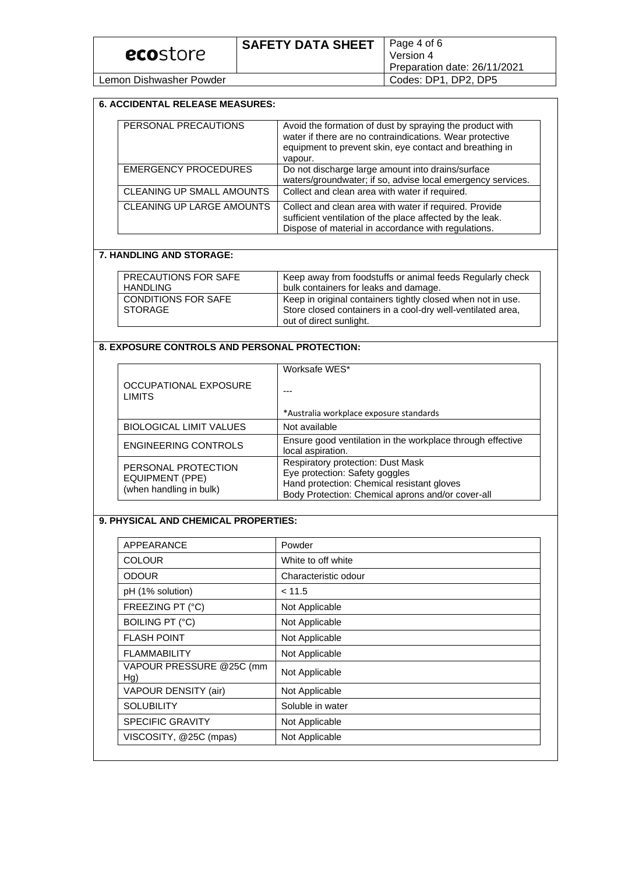Lemon Dishwasher Powder

### **6. ACCIDENTAL RELEASE MEASURES:**

| PERSONAL PRECAUTIONS        | Avoid the formation of dust by spraying the product with<br>water if there are no contraindications. Wear protective<br>equipment to prevent skin, eye contact and breathing in<br>vapour. |
|-----------------------------|--------------------------------------------------------------------------------------------------------------------------------------------------------------------------------------------|
| <b>EMERGENCY PROCEDURES</b> | Do not discharge large amount into drains/surface<br>waters/groundwater; if so, advise local emergency services.                                                                           |
| CLEANING UP SMALL AMOUNTS   | Collect and clean area with water if required.                                                                                                                                             |
| CLEANING UP LARGE AMOUNTS   | Collect and clean area with water if required. Provide<br>sufficient ventilation of the place affected by the leak.<br>Dispose of material in accordance with regulations.                 |

#### **7. HANDLING AND STORAGE:**

| PRECAUTIONS FOR SAFE       | Keep away from foodstuffs or animal feeds Regularly check   |
|----------------------------|-------------------------------------------------------------|
| <b>HANDLING</b>            | bulk containers for leaks and damage.                       |
| <b>CONDITIONS FOR SAFE</b> | Keep in original containers tightly closed when not in use. |
| <b>STORAGE</b>             | Store closed containers in a cool-dry well-ventilated area, |
|                            | out of direct sunlight.                                     |

# **8. EXPOSURE CONTROLS AND PERSONAL PROTECTION:**

|                                                                   | Worksafe WES*                                                                                                                                                          |
|-------------------------------------------------------------------|------------------------------------------------------------------------------------------------------------------------------------------------------------------------|
| <b>OCCUPATIONAL EXPOSURE</b><br><b>LIMITS</b>                     |                                                                                                                                                                        |
|                                                                   | *Australia workplace exposure standards                                                                                                                                |
| <b>BIOLOGICAL LIMIT VALUES</b>                                    | Not available                                                                                                                                                          |
| <b>ENGINEERING CONTROLS</b>                                       | Ensure good ventilation in the workplace through effective<br>local aspiration.                                                                                        |
| PERSONAL PROTECTION<br>EQUIPMENT (PPE)<br>(when handling in bulk) | Respiratory protection: Dust Mask<br>Eye protection: Safety goggles<br>Hand protection: Chemical resistant gloves<br>Body Protection: Chemical aprons and/or cover-all |

# **9. PHYSICAL AND CHEMICAL PROPERTIES:**

| APPEARANCE                      | Powder               |
|---------------------------------|----------------------|
| <b>COLOUR</b>                   | White to off white   |
| <b>ODOUR</b>                    | Characteristic odour |
| pH (1% solution)                | < 11.5               |
| FREEZING PT (°C)                | Not Applicable       |
| <b>BOILING PT (°C)</b>          | Not Applicable       |
| <b>FLASH POINT</b>              | Not Applicable       |
| <b>FLAMMABILITY</b>             | Not Applicable       |
| VAPOUR PRESSURE @25C (mm<br>Hg) | Not Applicable       |
| VAPOUR DENSITY (air)            | Not Applicable       |
| <b>SOLUBILITY</b>               | Soluble in water     |
| <b>SPECIFIC GRAVITY</b>         | Not Applicable       |
| VISCOSITY, @25C (mpas)          | Not Applicable       |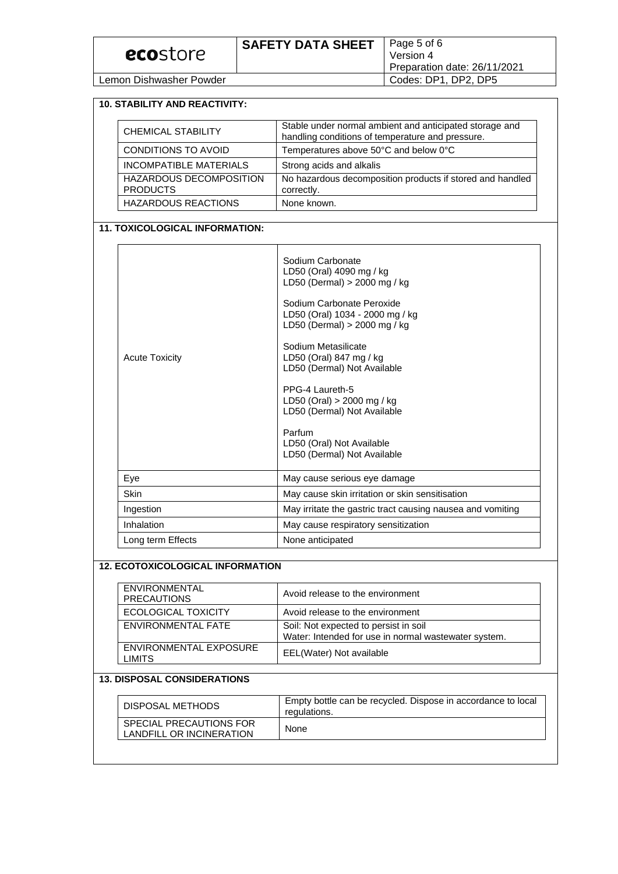| ecostore                | <b>SAFETY DATA SHEET</b> | Page 5 of 6<br>Version 4<br>Preparation date: 26/11/2021 |
|-------------------------|--------------------------|----------------------------------------------------------|
| Lemon Dishwasher Powder |                          | Codes: DP1, DP2, DP5                                     |

#### **10. STABILITY AND REACTIVITY:**

| <b>CHEMICAL STABILITY</b>                         | Stable under normal ambient and anticipated storage and<br>handling conditions of temperature and pressure. |
|---------------------------------------------------|-------------------------------------------------------------------------------------------------------------|
| CONDITIONS TO AVOID                               | Temperatures above 50°C and below 0°C                                                                       |
| INCOMPATIBLE MATERIALS                            | Strong acids and alkalis                                                                                    |
| <b>HAZARDOUS DECOMPOSITION</b><br><b>PRODUCTS</b> | No hazardous decomposition products if stored and handled<br>correctly.                                     |
| <b>HAZARDOUS REACTIONS</b>                        | None known.                                                                                                 |

### **11. TOXICOLOGICAL INFORMATION:**

| <b>Acute Toxicity</b> | Sodium Carbonate<br>LD50 (Oral) 4090 mg / kg<br>LD50 (Dermal) $>$ 2000 mg / kg<br>Sodium Carbonate Peroxide<br>LD50 (Oral) 1034 - 2000 mg / kg<br>LD50 (Dermal) > 2000 mg / kg<br>Sodium Metasilicate<br>LD50 (Oral) 847 mg / kg<br>LD50 (Dermal) Not Available<br>PPG-4 Laureth-5<br>LD50 (Oral) $> 2000$ mg / kg<br>LD50 (Dermal) Not Available<br>Parfum<br>LD50 (Oral) Not Available<br>LD50 (Dermal) Not Available |
|-----------------------|-------------------------------------------------------------------------------------------------------------------------------------------------------------------------------------------------------------------------------------------------------------------------------------------------------------------------------------------------------------------------------------------------------------------------|
| Eye                   | May cause serious eye damage                                                                                                                                                                                                                                                                                                                                                                                            |
| Skin                  | May cause skin irritation or skin sensitisation                                                                                                                                                                                                                                                                                                                                                                         |
| Ingestion             | May irritate the gastric tract causing nausea and vomiting                                                                                                                                                                                                                                                                                                                                                              |
| Inhalation            | May cause respiratory sensitization                                                                                                                                                                                                                                                                                                                                                                                     |
| Long term Effects     | None anticipated                                                                                                                                                                                                                                                                                                                                                                                                        |

### **12. ECOTOXICOLOGICAL INFORMATION**

| ENVIRONMENTAL<br><b>PRECAUTIONS</b>     | Avoid release to the environment                                                              |
|-----------------------------------------|-----------------------------------------------------------------------------------------------|
| ECOLOGICAL TOXICITY                     | Avoid release to the environment                                                              |
| ENVIRONMENTAL FATE                      | Soil: Not expected to persist in soil<br>Water: Intended for use in normal wastewater system. |
| ENVIRONMENTAL EXPOSURE<br><b>LIMITS</b> | EEL(Water) Not available                                                                      |

# **13. DISPOSAL CONSIDERATIONS**

| DISPOSAL METHODS                                    | Empty bottle can be recycled. Dispose in accordance to local<br>regulations. |
|-----------------------------------------------------|------------------------------------------------------------------------------|
| SPECIAL PRECAUTIONS FOR<br>LANDFILL OR INCINERATION | None                                                                         |